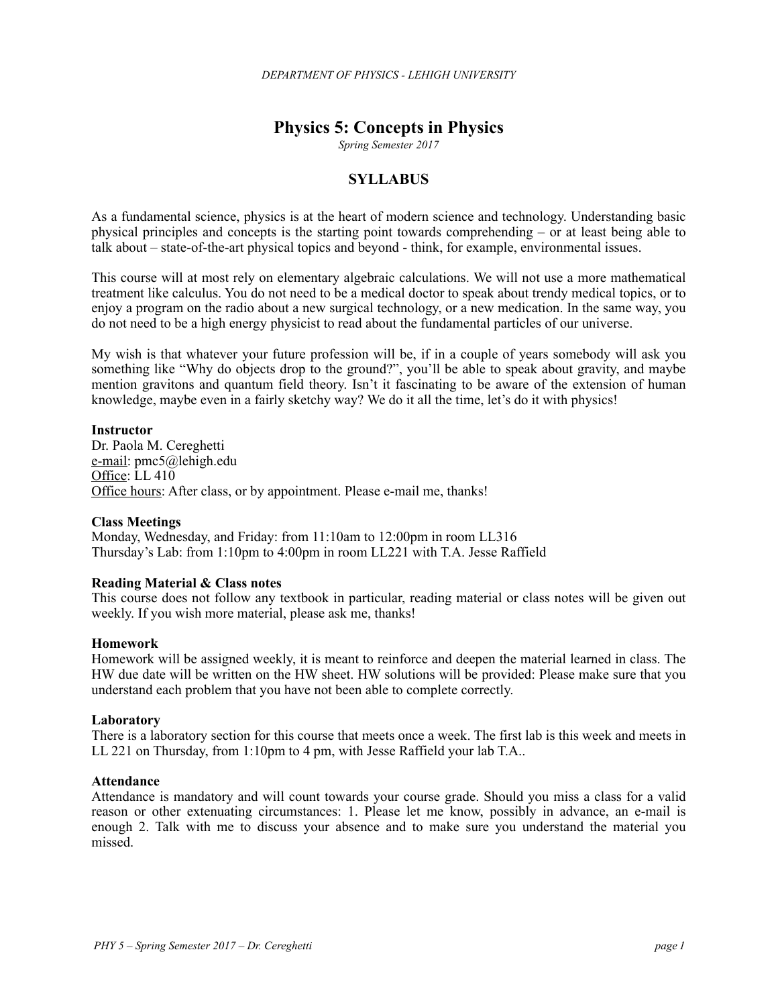# **Physics 5: Concepts in Physics**

*Spring Semester 2017*

# **SYLLABUS**

As a fundamental science, physics is at the heart of modern science and technology. Understanding basic physical principles and concepts is the starting point towards comprehending – or at least being able to talk about – state-of-the-art physical topics and beyond - think, for example, environmental issues.

This course will at most rely on elementary algebraic calculations. We will not use a more mathematical treatment like calculus. You do not need to be a medical doctor to speak about trendy medical topics, or to enjoy a program on the radio about a new surgical technology, or a new medication. In the same way, you do not need to be a high energy physicist to read about the fundamental particles of our universe.

My wish is that whatever your future profession will be, if in a couple of years somebody will ask you something like "Why do objects drop to the ground?", you'll be able to speak about gravity, and maybe mention gravitons and quantum field theory. Isn't it fascinating to be aware of the extension of human knowledge, maybe even in a fairly sketchy way? We do it all the time, let's do it with physics!

### **Instructor**

Dr. Paola M. Cereghetti e-mail: pmc5@lehigh.edu Office: LL 410 Office hours: After class, or by appointment. Please e-mail me, thanks!

### **Class Meetings**

Monday, Wednesday, and Friday: from 11:10am to 12:00pm in room LL316 Thursday's Lab: from 1:10pm to 4:00pm in room LL221 with T.A. Jesse Raffield

### **Reading Material & Class notes**

This course does not follow any textbook in particular, reading material or class notes will be given out weekly. If you wish more material, please ask me, thanks!

#### **Homework**

Homework will be assigned weekly, it is meant to reinforce and deepen the material learned in class. The HW due date will be written on the HW sheet. HW solutions will be provided: Please make sure that you understand each problem that you have not been able to complete correctly.

### **Laboratory**

There is a laboratory section for this course that meets once a week. The first lab is this week and meets in LL 221 on Thursday, from 1:10pm to 4 pm, with Jesse Raffield your lab T.A..

#### **Attendance**

Attendance is mandatory and will count towards your course grade. Should you miss a class for a valid reason or other extenuating circumstances: 1. Please let me know, possibly in advance, an e-mail is enough 2. Talk with me to discuss your absence and to make sure you understand the material you missed.